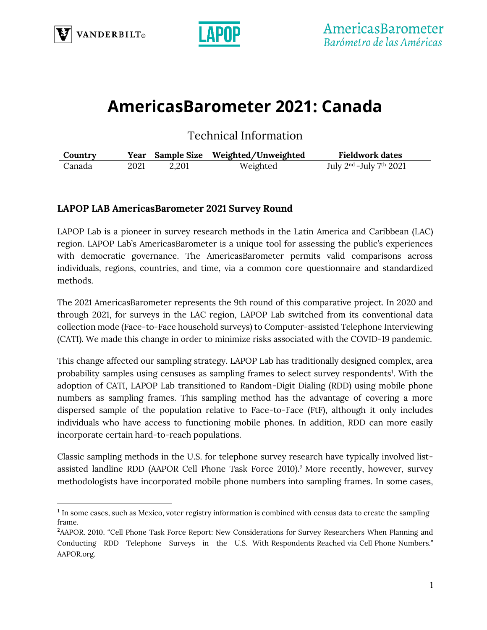



## **AmericasBarometer 2021: Canada**

Technical Information

| Country |      |       | Year Sample Size Weighted/Unweighted | <b>Fieldwork dates</b>      |
|---------|------|-------|--------------------------------------|-----------------------------|
| Canada  | 2021 | 2.201 | Weighted                             | July $2nd$ -July $7th$ 2021 |

#### **LAPOP LAB AmericasBarometer 2021 Survey Round**

LAPOP Lab is a pioneer in survey research methods in the Latin America and Caribbean (LAC) region. LAPOP Lab's AmericasBarometer is a unique tool for assessing the public's experiences with democratic governance. The AmericasBarometer permits valid comparisons across individuals, regions, countries, and time, via a common core questionnaire and standardized methods.

The 2021 AmericasBarometer represents the 9th round of this comparative project. In 2020 and through 2021, for surveys in the LAC region, LAPOP Lab switched from its conventional data collection mode (Face-to-Face household surveys) to Computer-assisted Telephone Interviewing (CATI). We made this change in order to minimize risks associated with the COVID-19 pandemic.

This change affected our sampling strategy. LAPOP Lab has traditionally designed complex, area probability samples using censuses as sampling frames to select survey respondents<sup>1</sup>. With the adoption of CATI, LAPOP Lab transitioned to Random-Digit Dialing (RDD) using mobile phone numbers as sampling frames. This sampling method has the advantage of covering a more dispersed sample of the population relative to Face-to-Face (FtF), although it only includes individuals who have access to functioning mobile phones. In addition, RDD can more easily incorporate certain hard-to-reach populations.

Classic sampling methods in the U.S. for telephone survey research have typically involved listassisted landline RDD (AAPOR Cell Phone Task Force 2010).<sup>2</sup> More recently, however, survey methodologists have incorporated mobile phone numbers into sampling frames. In some cases,

<sup>&</sup>lt;sup>1</sup> In some cases, such as Mexico, voter registry information is combined with census data to create the sampling frame.

<sup>&</sup>lt;sup>2</sup>AAPOR. 2010. "Cell Phone Task Force Report: New Considerations for Survey Researchers When Planning and Conducting RDD Telephone Surveys in the U.S. With Respondents Reached via Cell Phone Numbers." AAPOR.org.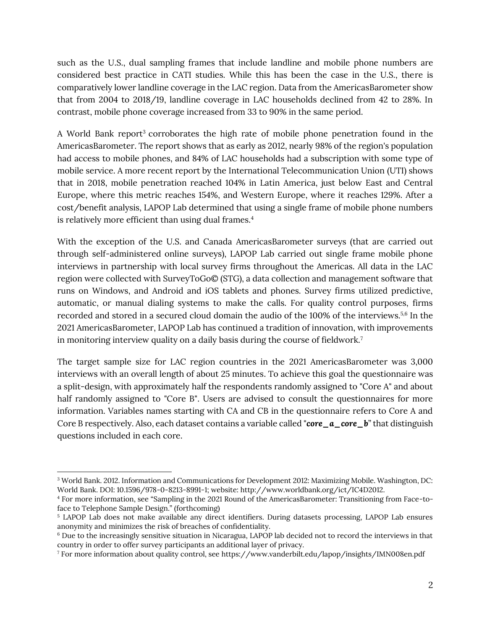such as the U.S., dual sampling frames that include landline and mobile phone numbers are considered best practice in CATI studies. While this has been the case in the U.S., there is comparatively lower landline coverage in the LAC region. Data from the AmericasBarometer show that from 2004 to 2018/19, landline coverage in LAC households declined from 42 to 28%. In contrast, mobile phone coverage increased from 33 to 90% in the same period.

A World Bank report<sup>3</sup> corroborates the high rate of mobile phone penetration found in the AmericasBarometer. The report shows that as early as 2012, nearly 98% of the region's population had access to mobile phones, and 84% of LAC households had a subscription with some type of mobile service. A more recent report by the International Telecommunication Union (UTI) shows that in 2018, mobile penetration reached 104% in Latin America, just below East and Central Europe, where this metric reaches 154%, and Western Europe, where it reaches 129%. After a cost/benefit analysis, LAPOP Lab determined that using a single frame of mobile phone numbers is relatively more efficient than using dual frames.<sup>4</sup>

With the exception of the U.S. and Canada AmericasBarometer surveys (that are carried out through self-administered online surveys), LAPOP Lab carried out single frame mobile phone interviews in partnership with local survey firms throughout the Americas. All data in the LAC region were collected with SurveyToGo© (STG), a data collection and management software that runs on Windows, and Android and iOS tablets and phones. Survey firms utilized predictive, automatic, or manual dialing systems to make the calls. For quality control purposes, firms recorded and stored in a secured cloud domain the audio of the 100% of the interviews.5,6 In the 2021 AmericasBarometer, LAPOP Lab has continued a tradition of innovation, with improvements in monitoring interview quality on a daily basis during the course of fieldwork.<sup>7</sup>

The target sample size for LAC region countries in the 2021 AmericasBarometer was 3,000 interviews with an overall length of about 25 minutes. To achieve this goal the questionnaire was a split-design, with approximately half the respondents randomly assigned to "Core A" and about half randomly assigned to "Core B". Users are advised to consult the questionnaires for more information. Variables names starting with CA and CB in the questionnaire refers to Core A and Core B respectively. Also, each dataset contains a variable called "*core\_a\_core\_b*" that distinguish questions included in each core.

<sup>3</sup> World Bank. 2012. Information and Communications for Development 2012: Maximizing Mobile. Washington, DC: World Bank. DOI: 10.1596/978-0-8213-8991-1; website: http://www.worldbank.org/ict/IC4D2012.

<sup>4</sup> For more information, see "Sampling in the 2021 Round of the AmericasBarometer: Transitioning from Face-toface to Telephone Sample Design." (forthcoming)

<sup>5</sup> LAPOP Lab does not make available any direct identifiers. During datasets processing, LAPOP Lab ensures anonymity and minimizes the risk of breaches of confidentiality.

<sup>6</sup> Due to the increasingly sensitive situation in Nicaragua, LAPOP lab decided not to record the interviews in that country in order to offer survey participants an additional layer of privacy.

<sup>7</sup> For more information about quality control, see https://www.vanderbilt.edu/lapop/insights/IMN008en.pdf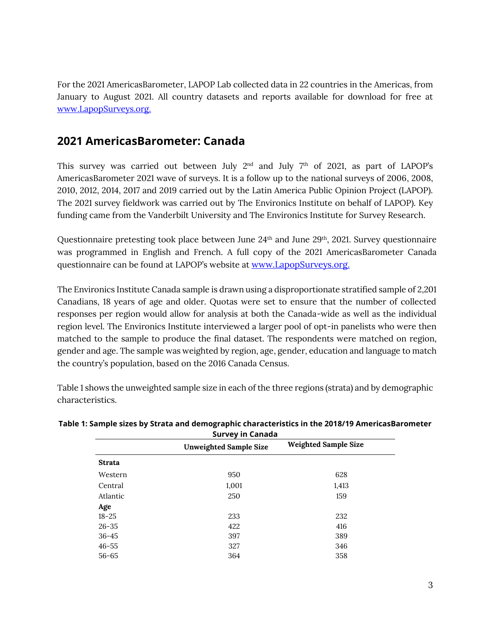For the 2021 AmericasBarometer, LAPOP Lab collected data in 22 countries in the Americas, from January to August 2021. All country datasets and reports available for download for free at [www.LapopSurveys.org.](http://www.lapopsurveys.org/)

### **2021 AmericasBarometer: Canada**

This survey was carried out between July  $2^{\text{nd}}$  and July  $7^{\text{th}}$  of 2021, as part of LAPOP's AmericasBarometer 2021 wave of surveys. It is a follow up to the national surveys of 2006, 2008, 2010, 2012, 2014, 2017 and 2019 carried out by the Latin America Public Opinion Project (LAPOP). The 2021 survey fieldwork was carried out by The Environics Institute on behalf of LAPOP). Key funding came from the Vanderbilt University and The Environics Institute for Survey Research.

Questionnaire pretesting took place between June 24<sup>th</sup> and June 29<sup>th</sup>, 2021. Survey questionnaire was programmed in English and French. A full copy of the 2021 AmericasBarometer Canada questionnaire can be found at LAPOP's website at [www.LapopSurveys.org.](http://www.lapopsurveys.org/)

The Environics Institute Canada sample is drawn using a disproportionate stratified sample of 2,201 Canadians, 18 years of age and older. Quotas were set to ensure that the number of collected responses per region would allow for analysis at both the Canada-wide as well as the individual region level. The Environics Institute interviewed a larger pool of opt-in panelists who were then matched to the sample to produce the final dataset. The respondents were matched on region, gender and age. The sample was weighted by region, age, gender, education and language to match the country's population, based on the 2016 Canada Census.

Table 1 shows the unweighted sample size in each of the three regions (strata) and by demographic characteristics.

| <b>Survey in Canada</b> |                               |                             |  |  |
|-------------------------|-------------------------------|-----------------------------|--|--|
|                         | <b>Unweighted Sample Size</b> | <b>Weighted Sample Size</b> |  |  |
| <b>Strata</b>           |                               |                             |  |  |
| Western                 | 950                           | 628                         |  |  |
| Central                 | 1,001                         | 1,413                       |  |  |
| Atlantic                | 250                           | 159                         |  |  |
| Age                     |                               |                             |  |  |
| $18 - 25$               | 233                           | 232                         |  |  |
| $26 - 35$               | 422                           | 416                         |  |  |
| $36 - 45$               | 397                           | 389                         |  |  |
| $46 - 55$               | 327                           | 346                         |  |  |
| $56 - 65$               | 364                           | 358                         |  |  |
|                         |                               |                             |  |  |

# **Table 1: Sample sizes by Strata and demographic characteristics in the 2018/19 AmericasBarometer**